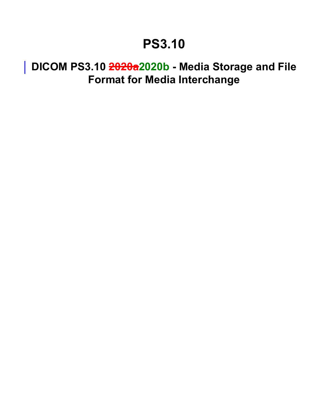## **PS3.10**

## **DICOM PS3.10 2020a2020b - Media Storage and File Format for Media Interchange**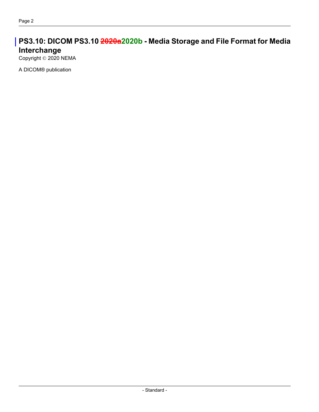## **PS3.10: DICOM PS3.10 2020a2020b - Media Storage and File Format for Media Interchange**

Copyright © 2020 NEMA

A DICOM® publication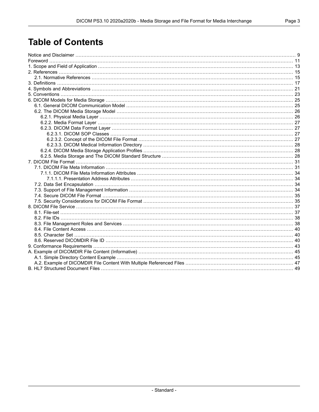## **Table of Contents**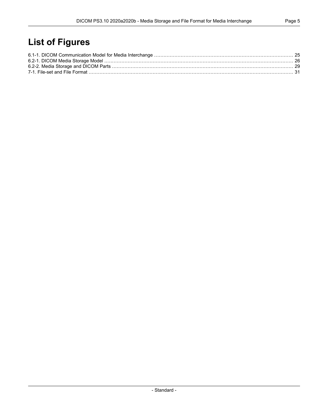## **List of Figures**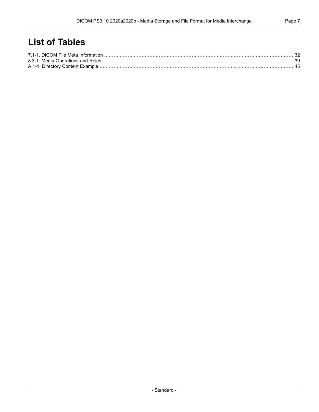## **List of Tables**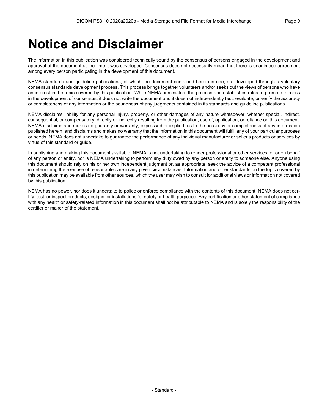## <span id="page-8-0"></span>**Notice and Disclaimer**

The information in this publication was considered technically sound by the consensus of persons engaged in the development and approval of the document at the time it was developed. Consensus does not necessarily mean that there is unanimous agreement among every person participating in the development of this document.

NEMA standards and guideline publications, of which the document contained herein is one, are developed through a voluntary consensus standards development process. This process brings together volunteers and/or seeks out the views of persons who have an interest in the topic covered by this publication. While NEMA administers the process and establishes rules to promote fairness in the development of consensus, it does not write the document and it does not independently test, evaluate, or verify the accuracy or completeness of any information or the soundness of any judgments contained in its standards and guideline publications.

NEMA disclaims liability for any personal injury, property, or other damages of any nature whatsoever, whether special, indirect, consequential, or compensatory, directly or indirectly resulting from the publication, use of, application, or reliance on this document. NEMA disclaims and makes no guaranty or warranty, expressed or implied, as to the accuracy or completeness of any information published herein, and disclaims and makes no warranty that the information in this document will fulfill any of your particular purposes or needs. NEMA does not undertake to guarantee the performance of any individual manufacturer or seller's products or services by virtue of this standard or guide.

In publishing and making this document available, NEMA is not undertaking to render professional or other services for or on behalf of any person or entity, nor is NEMA undertaking to perform any duty owed by any person or entity to someone else. Anyone using this document should rely on his or her own independent judgment or, as appropriate, seek the advice of a competent professional in determining the exercise of reasonable care in any given circumstances. Information and other standards on the topic covered by this publication may be available from other sources, which the user may wish to consult for additional views or information not covered by this publication.

NEMA has no power, nor does it undertake to police or enforce compliance with the contents of this document. NEMA does not cer tify, test, or inspect products, designs, or installations for safety or health purposes. Any certification or other statement of compliance with any health or safety-related information in this document shall not be attributable to NEMA and is solely the responsibility of the certifier or maker of the statement.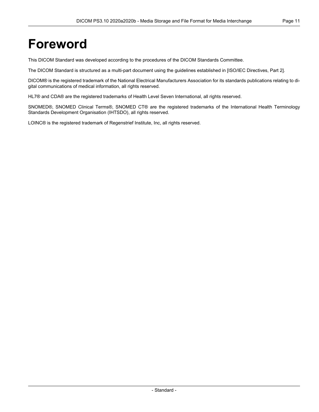## <span id="page-10-0"></span>**Foreword**

This DICOM Standard was developed according to the procedures of the DICOM Standards Committee.

The DICOM Standard is structured as a multi-part document using the guidelines established in [ISO/IEC [Directives,](#page-14-2) Part 2].

DICOM® is the registered trademark of the National Electrical Manufacturers Association for its standards publications relating to di gital communications of medical information, all rights reserved.

HL7® and CDA® are the registered trademarks of Health Level Seven International, all rights reserved.

SNOMED®, SNOMED Clinical Terms®, SNOMED CT® are the registered trademarks of the International Health Terminology Standards Development Organisation (IHTSDO), all rights reserved.

LOINC® is the registered trademark of Regenstrief Institute, Inc, all rights reserved.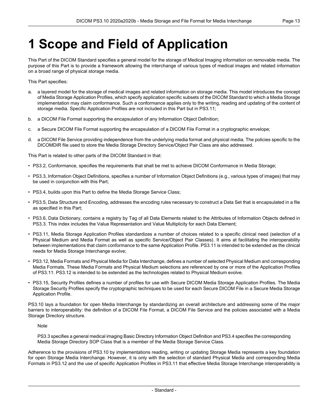## <span id="page-12-0"></span>**1 Scope and Field of Application**

This Part of the DICOM Standard specifies a general model for the storage of Medical Imaging information on removable media. The purpose of this Part is to provide a framework allowing the interchange of various types of medical images and related information on a broad range of physical storage media.

This Part specifies:

- a. a layered model for the storage of medical images and related information on storage media. This model introduces the concept of Media Storage Application Profiles, which specify application specific subsets of the DICOM Standard to which a Media Storage implementation may claim conformance. Such a conformance applies only to the writing, reading and updating of the content of storage media. Specific Application Profiles are not included in this Part but in [PS3.11](part11.pdf#PS3.11);
- b. a DICOM File Format supporting the encapsulation of any Information Object Definition;
- c. a Secure DICOM File Format supporting the encapsulation of a DICOM File Format in a cryptographic envelope;
- d. a DICOM File Service providing independence from the underlying media format and physical media. The policies specific to the DICOMDIR file used to store the Media Storage Directory Service/Object Pair Class are also addressed.

This Part is related to other parts of the DICOM Standard in that:

- [PS3.2](part02.pdf#PS3.2), Conformance, specifies the requirements that shall be met to achieve DICOM Conformance in Media Storage;
- [PS3.3](part03.pdf#PS3.3), Information Object Definitions, specifies a number of Information Object Definitions (e.g., various types of images) that may be used in conjunction with this Part;
- [PS3.4](part04.pdf#PS3.4), builds upon this Part to define the Media Storage Service Class;
- [PS3.5](part05.pdf#PS3.5), Data Structure and Encoding, addresses the encoding rules necessary to construct a Data Set that is encapsulated in a file as specified in this Part;
- [PS3.6](part06.pdf#PS3.6), Data Dictionary, contains a registry by Tag of all Data Elements related to the Attributes of Information Objects defined in [PS3.3](part03.pdf#PS3.3). This index includes the Value Representation and Value Multiplicity for each Data Element;
- [PS3.11](part11.pdf#PS3.11), Media Storage Application Profiles standardizes a number of choices related to a specific clinical need (selection of a Physical Medium and Media Format as well as specific Service/Object Pair Classes). It aims at facilitating the interoperability between implementations that claim conformance to the same Application Profile. [PS3.11](part11.pdf#PS3.11) is intended to be extended as the clinical needs for Media Storage Interchange evolve;
- [PS3.12](part12.pdf#PS3.12), Media Formats and Physical Media for Data Interchange, defines a number of selected Physical Medium and corresponding Media Formats. These Media Formats and Physical Medium selections are referenced by one or more of the Application Profiles of [PS3.11](part11.pdf#PS3.11). [PS3.12](part12.pdf#PS3.12) is intended to be extended as the technologies related to Physical Medium evolve.
- [PS3.15](part15.pdf#PS3.15), Security Profiles defines a number of profiles for use with Secure DICOM Media Storage Application Profiles. The Media Storage Security Profiles specify the cryptographic techniques to be used for each Secure DICOM File in a Secure Media Storage Application Profile.

PS3.10 lays a foundation for open Media Interchange by standardizing an overall architecture and addressing some of the major barriers to interoperability: the definition of a DICOM File Format, a DICOM File Service and the policies associated with a Media Storage Directory structure.

Note

[PS3.3](part03.pdf#PS3.3) specifies a general medical imaging Basic Directory Information Object Definition and [PS3.4](part04.pdf#PS3.4) specifies the corresponding Media Storage Directory SOP Class that is a member of the Media Storage Service Class.

Adherence to the provisions of PS3.10 by implementations reading, writing or updating Storage Media represents a key foundation for open Storage Media Interchange. However, it is only with the selection of standard Physical Media and corresponding Media Formats in [PS3.12](part12.pdf#PS3.12) and the use of specific Application Profiles in [PS3.11](part11.pdf#PS3.11) that effective Media Storage Interchange interoperability is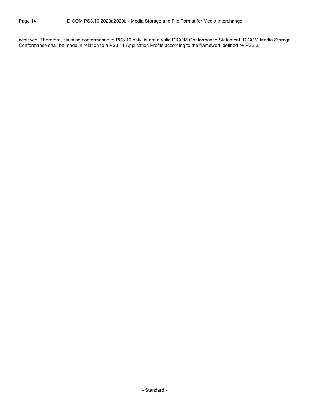achieved. Therefore, claiming conformance to PS3.10 only, is not a valid DICOM Conformance Statement. DICOM Media Storage Conformance shall be made in relation to a [PS3.11](part11.pdf#PS3.11) Application Profile according to the framework defined by [PS3.2.](part02.pdf#PS3.2)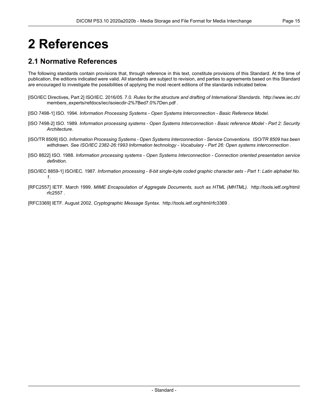# <span id="page-14-0"></span>**2 References**

## <span id="page-14-1"></span>**2.1 Normative References**

The following standards contain provisions that, through reference in this text, constitute provisions of this Standard. At the time of publication, the editions indicated were valid. All standards are subject to revision, and parties to agreements based on this Standard are encouraged to investigate the possibilities of applying the most recent editions of the standards indicated below.

- <span id="page-14-3"></span><span id="page-14-2"></span>[ISO/IEC Directives, Part 2] ISO/IEC. 2016/05. 7.0. *Rules for the structure and drafting of International Standards*. [http://www.iec.ch/](http://www.iec.ch/members_experts/refdocs/iec/isoiecdir-2%7Bed7.0%7Den.pdf) [members\\_experts/refdocs/iec/isoiecdir-2%7Bed7.0%7Den.pdf](http://www.iec.ch/members_experts/refdocs/iec/isoiecdir-2%7Bed7.0%7Den.pdf) .
- <span id="page-14-4"></span>[ISO 7498-1] ISO. 1994. *Information Processing Systems - Open Systems Interconnection - Basic Reference Model*.
- <span id="page-14-5"></span>[ISO 7498-2] ISO. 1989. Information processing systems - Open Systems Interconnection - Basic reference Model - Part 2: Security *Architecture*.
- <span id="page-14-6"></span>[ISO/TR 8509] ISO. *Information Processing Systems - Open Systems Interconnection - Service Conventions*. *ISO/TR 8509 has been withdrawn. See ISO/IEC 2382-26:1993 Information technology - Vocabulary - Part 26: Open systems interconnection* .
- [ISO 8822] ISO. 1988. *Information processing systems - Open Systems Interconnection - Connection oriented presentation service definition*.
- [ISO/IEC 8859-1] ISO/IEC. 1987. Information processing 8-bit single-byte coded graphic character sets Part 1: Latin alphabet No. *1*.
- [RFC2557] IETF. March 1999. *MIME Encapsulation of Aggregate Documents, such as HTML (MHTML)*. [http://tools.ietf.org/html/](http://tools.ietf.org/html/rfc2557) [rfc2557](http://tools.ietf.org/html/rfc2557) .

[RFC3369] IETF. August 2002. *Cryptographic Message Syntax*. <http://tools.ietf.org/html/rfc3369> .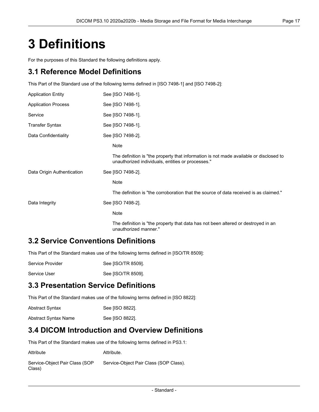## <span id="page-16-0"></span>**3 Definitions**

For the purposes of this Standard the following definitions apply.

### **3.1 Reference Model Definitions**

This Part of the Standard use of the following terms defined in [ISO [7498-1\]](#page-14-3) and [ISO [7498-2\]](#page-14-4):

| <b>Application Entity</b>  | See [ISO 7498-1].                                                                                                                           |
|----------------------------|---------------------------------------------------------------------------------------------------------------------------------------------|
| <b>Application Process</b> | See [ISO 7498-1].                                                                                                                           |
| Service                    | See [ISO 7498-1].                                                                                                                           |
| Transfer Syntax            | See [ISO 7498-1].                                                                                                                           |
| Data Confidentiality       | See [ISO 7498-2].                                                                                                                           |
|                            | Note                                                                                                                                        |
|                            | The definition is "the property that information is not made available or disclosed to<br>unauthorized individuals, entities or processes." |
| Data Origin Authentication | See [ISO 7498-2].                                                                                                                           |
|                            | Note                                                                                                                                        |
|                            | The definition is "the corroboration that the source of data received is as claimed."                                                       |
| Data Integrity             | See [ISO 7498-2].                                                                                                                           |
|                            | Note                                                                                                                                        |
|                            | The definition is "the property that data has not been altered or destroyed in an<br>unauthorized manner."                                  |

### **3.2 Service Conventions Definitions**

This Part of the Standard makes use of the following terms defined in [\[ISO/TR](#page-14-5) 8509]:

| Service Provider | See [ISO/TR 8509]. |
|------------------|--------------------|
|                  |                    |

Service User See [\[ISO/TR](#page-14-5) 8509].

## **3.3 Presentation Service Definitions**

This Part of the Standard makes use of the following terms defined in [ISO [8822\]](#page-14-6):

| <b>Abstract Syntax</b> | See [ISO 8822]. |
|------------------------|-----------------|
| Abstract Syntax Name   | See [ISO 8822]. |

### **3.4 DICOM Introduction and Overview Definitions**

This Part of the Standard makes use of the following terms defined in [PS3.1:](part01.pdf#PS3.1)

| Attribute                                | Attribute.                             |
|------------------------------------------|----------------------------------------|
| Service-Object Pair Class (SOP<br>Class) | Service-Object Pair Class (SOP Class). |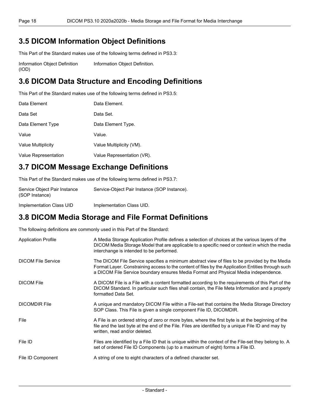## **3.5 DICOM Information Object Definitions**

This Part of the Standard makes use of the following terms defined in [PS3.3:](part03.pdf#PS3.3)

Information Object Definition (IOD) [Information](part03.pdf#glossentry_InformationObjectDefinition) Object Definition.

## **3.6 DICOM Data Structure and Encoding Definitions**

This Part of the Standard makes use of the following terms defined in [PS3.5:](part05.pdf#PS3.5)

| Data Element         | Data Element.              |
|----------------------|----------------------------|
| Data Set             | Data Set.                  |
| Data Element Type    | Data Element Type.         |
| Value                | Value.                     |
| Value Multiplicity   | Value Multiplicity (VM).   |
| Value Representation | Value Representation (VR). |

## **3.7 DICOM Message Exchange Definitions**

This Part of the Standard makes use of the following terms defined in [PS3.7:](part07.pdf#PS3.7)

| Service Object Pair Instance<br>(SOP Instance) | Service-Object Pair Instance (SOP Instance). |
|------------------------------------------------|----------------------------------------------|
| Implementation Class UID                       | Implementation Class UID.                    |

## **3.8 DICOM Media Storage and File Format Definitions**

The following definitions are commonly used in this Part of the Standard:

| <b>Application Profile</b> | A Media Storage Application Profile defines a selection of choices at the various layers of the<br>DICOM Media Storage Model that are applicable to a specific need or context in which the media<br>interchange is intended to be performed.                                              |
|----------------------------|--------------------------------------------------------------------------------------------------------------------------------------------------------------------------------------------------------------------------------------------------------------------------------------------|
| <b>DICOM File Service</b>  | The DICOM File Service specifies a minimum abstract view of files to be provided by the Media<br>Format Layer. Constraining access to the content of files by the Application Entities through such<br>a DICOM File Service boundary ensures Media Format and Physical Media independence. |
| <b>DICOM File</b>          | A DICOM File is a File with a content formatted according to the requirements of this Part of the<br>DICOM Standard. In particular such files shall contain, the File Meta Information and a properly<br>formatted Data Set.                                                               |
| <b>DICOMDIR File</b>       | A unique and mandatory DICOM File within a File-set that contains the Media Storage Directory<br>SOP Class. This File is given a single component File ID, DICOMDIR.                                                                                                                       |
| File                       | A File is an ordered string of zero or more bytes, where the first byte is at the beginning of the<br>file and the last byte at the end of the File. Files are identified by a unique File ID and may by<br>written, read and/or deleted.                                                  |
| File ID                    | Files are identified by a File ID that is unique within the context of the File-set they belong to. A<br>set of ordered File ID Components (up to a maximum of eight) forms a File ID.                                                                                                     |
| File ID Component          | A string of one to eight characters of a defined character set.                                                                                                                                                                                                                            |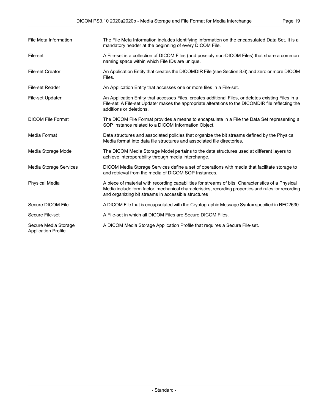| File Meta Information                              | The File Meta Information includes identifying information on the encapsulated Data Set. It is a<br>mandatory header at the beginning of every DICOM File.                                                                                                       |
|----------------------------------------------------|------------------------------------------------------------------------------------------------------------------------------------------------------------------------------------------------------------------------------------------------------------------|
| File-set                                           | A File-set is a collection of DICOM Files (and possibly non-DICOM Files) that share a common<br>naming space within which File IDs are unique.                                                                                                                   |
| <b>File-set Creator</b>                            | An Application Entity that creates the DICOMDIR File (see Section 8.6) and zero or more DICOM<br>Files.                                                                                                                                                          |
| File-set Reader                                    | An Application Entity that accesses one or more files in a File-set.                                                                                                                                                                                             |
| <b>File-set Updater</b>                            | An Application Entity that accesses Files, creates additional Files, or deletes existing Files in a<br>File-set. A File-set Updater makes the appropriate alterations to the DICOMDIR file reflecting the<br>additions or deletions.                             |
| <b>DICOM File Format</b>                           | The DICOM File Format provides a means to encapsulate in a File the Data Set representing a<br>SOP Instance related to a DICOM Information Object.                                                                                                               |
| Media Format                                       | Data structures and associated policies that organize the bit streams defined by the Physical<br>Media format into data file structures and associated file directories.                                                                                         |
| Media Storage Model                                | The DICOM Media Storage Model pertains to the data structures used at different layers to<br>achieve interoperability through media interchange.                                                                                                                 |
| Media Storage Services                             | DICOM Media Storage Services define a set of operations with media that facilitate storage to<br>and retrieval from the media of DICOM SOP Instances.                                                                                                            |
| <b>Physical Media</b>                              | A piece of material with recording capabilities for streams of bits. Characteristics of a Physical<br>Media include form factor, mechanical characteristics, recording properties and rules for recording<br>and organizing bit streams in accessible structures |
| Secure DICOM File                                  | A DICOM File that is encapsulated with the Cryptographic Message Syntax specified in RFC2630.                                                                                                                                                                    |
| Secure File-set                                    | A File-set in which all DICOM Files are Secure DICOM Files.                                                                                                                                                                                                      |
| Secure Media Storage<br><b>Application Profile</b> | A DICOM Media Storage Application Profile that requires a Secure File-set.                                                                                                                                                                                       |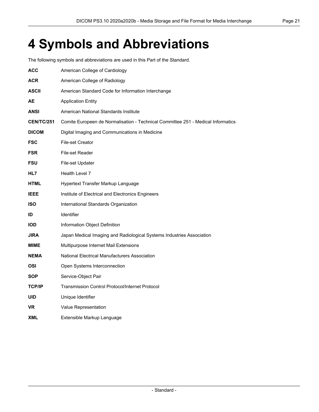## <span id="page-20-0"></span>**4 Symbols and Abbreviations**

The following symbols and abbreviations are used in this Part of the Standard.

| ACC               | American College of Cardiology                                                   |
|-------------------|----------------------------------------------------------------------------------|
| <b>ACR</b>        | American College of Radiology                                                    |
| <b>ASCII</b>      | American Standard Code for Information Interchange                               |
| AЕ                | <b>Application Entity</b>                                                        |
| ANSI              | American National Standards Institute                                            |
| <b>CEN/TC/251</b> | Comite Europeen de Normalisation - Technical Committee 251 - Medical Informatics |
| <b>DICOM</b>      | Digital Imaging and Communications in Medicine                                   |
| <b>FSC</b>        | <b>File-set Creator</b>                                                          |
| <b>FSR</b>        | File-set Reader                                                                  |
| <b>FSU</b>        | File-set Updater                                                                 |
| HL7               | Health Level 7                                                                   |
| <b>HTML</b>       | Hypertext Transfer Markup Language                                               |
| <b>IEEE</b>       | Institute of Electrical and Electronics Engineers                                |
| <b>ISO</b>        | International Standards Organization                                             |
| ID                | <b>Identifier</b>                                                                |
| <b>IOD</b>        | Information Object Definition                                                    |
| <b>JIRA</b>       | Japan Medical Imaging and Radiological Systems Industries Association            |
| MIME              | Multipurpose Internet Mail Extensions                                            |
| <b>NEMA</b>       | National Electrical Manufacturers Association                                    |
| OSI               | Open Systems Interconnection                                                     |
| <b>SOP</b>        | Service-Object Pair                                                              |
| <b>TCP/IP</b>     | <b>Transmission Control Protocol/Internet Protocol</b>                           |
| <b>UID</b>        | Unique Identifier                                                                |
| VR                | Value Representation                                                             |
| XML               | Extensible Markup Language                                                       |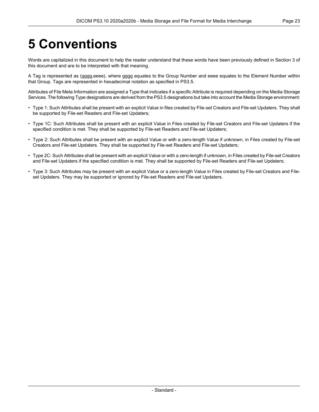# <span id="page-22-0"></span>**5 Conventions**

Words are capitalized in this document to help the reader understand that these words have been previously defined in Section 3 of this document and are to be interpreted with that meaning.

A Tag is represented as (gggg,eeee), where gggg equates to the Group Number and eeee equates to the Element Number within that Group. Tags are represented in hexadecimal notation as specified in [PS3.5.](part05.pdf#PS3.5)

Attributes of File Meta Information are assigned a Type that indicates if a specific Attribute is required depending on the Media Storage Services. The following Type designations are derived from the [PS3.5](part05.pdf#PS3.5) designations but take into account the Media Storage environment:

- Type 1: Such Attributes shall be present with an explicit Value in files created by File-set Creators and File-set Updaters. They shall be supported by File-set Readers and File-set Updaters;
- Type 1C: Such Attributes shall be present with an explicit Value in Files created by File-set Creators and File-set Updaters if the specified condition is met. They shall be supported by File-set Readers and File-set Updaters;
- Type 2: Such Attributes shall be present with an explicit Value or with a zero-length Value if unknown, in Files created by File-set Creators and File-set Updaters. They shall be supported by File-set Readers and File-set Updaters;
- Type 2C: Such Attributes shall be present with an explicit Value or with a zero-length if unknown, in Files created by File-set Creators and File-set Updaters if the specified condition is met. They shall be supported by File-set Readers and File-set Updaters;
- Type 3: Such Attributes may be present with an explicit Value or a zero-length Value in Files created by File-set Creators and File set Updaters. They may be supported or ignored by File-set Readers and File-set Updaters.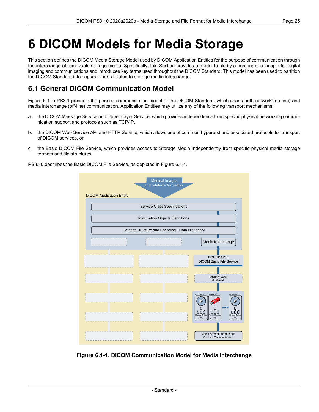## <span id="page-24-0"></span>**6 DICOM Models for Media Storage**

This section defines the DICOM Media Storage Model used by DICOM Application Entities for the purpose of communication through the interchange of removable storage media. Specifically, this Section provides a model to clarify a number of concepts for digital imaging and communications and introduces key terms used throughout the DICOM Standard. This model has been used to partition the DICOM Standard into separate parts related to storage media interchange.

## <span id="page-24-1"></span>**6.1 General DICOM Communication Model**

[Figure](part01.pdf#figure_5-1) 5-1 in PS3.1 presents the general communication model of the DICOM Standard, which spans both network (on-line) and media interchange (off-line) communication. Application Entities may utilize any of the following transport mechanisms:

- a. the DICOM Message Service and Upper Layer Service, which provides independence from specific physical networking commu nication support and protocols such as TCP/IP,
- b. the DICOM Web Service API and HTTP Service, which allows use of common hypertext and associated protocols for transport of DICOM services, or
- c. the Basic DICOM File Service, which provides access to Storage Media independently from specific physical media storage formats and file structures.

<span id="page-24-2"></span>PS3.10 describes the Basic DICOM File Service, as depicted in [Figure](#page-24-2) 6.1-1.



**Figure 6.1-1. DICOM Communication Model for Media Interchange**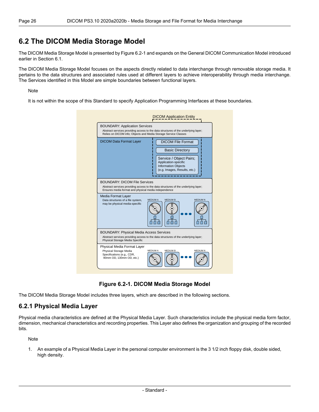### <span id="page-25-0"></span>**6.2 The DICOM Media Storage Model**

The DICOM Media Storage Model is presented by [Figure](#page-25-2) 6.2-1 and expands on the General DICOM Communication Model introduced earlier in [Section](#page-24-1) 6.1.

The DICOM Media Storage Model focuses on the aspects directly related to data interchange through removable storage media. It pertains to the data structures and associated rules used at different layers to achieve interoperability through media interchange. The Services identified in this Model are simple boundaries between functional layers.

#### Note

<span id="page-25-2"></span>It is not within the scope of this Standard to specify Application Programming Interfaces at these boundaries.

| <b>BOUNDARY: Application Services</b><br>Relies on DICOM info; Objects and Media Storage Service Classes                                                                           | Abstract services providing access to the data structures of the underlying layer;                                                                                  |  |  |
|------------------------------------------------------------------------------------------------------------------------------------------------------------------------------------|---------------------------------------------------------------------------------------------------------------------------------------------------------------------|--|--|
| <b>DICOM Data Format Layer</b>                                                                                                                                                     | <b>DICOM File Format</b><br><b>Basic Directory</b><br>Service / Object Pairs;<br>Application-specific<br><b>Information Objects</b><br>(e.g. Images, Results, etc.) |  |  |
| <b>BOUNDARY: DICOM File Services</b><br>Abstract services providing access to the data structures of the underlying layer;<br>Ensures media format and physical media independence |                                                                                                                                                                     |  |  |
|                                                                                                                                                                                    |                                                                                                                                                                     |  |  |
| Media Format Layer<br>Data structures of a file system,<br>may be physical media-specific                                                                                          | <b>MEDIUM A</b><br><b>MEDIUM B</b><br><b>MEDIUM N</b>                                                                                                               |  |  |
| <b>BOUNDARY: Physical Media Access Services</b><br>Physical Storage Media Specific                                                                                                 | Abstract services providing access to the data structures of the underlying layer;                                                                                  |  |  |

**Figure 6.2-1. DICOM Media Storage Model**

<span id="page-25-1"></span>The DICOM Media Storage Model includes three layers, which are described in the following sections.

#### **6.2.1 Physical Media Layer**

Physical media characteristics are defined at the Physical Media Layer. Such characteristics include the physical media form factor, dimension, mechanical characteristics and recording properties. This Layer also defines the organization and grouping of the recorded bits.

Note

1. An example of a Physical Media Layer in the personal computer environment is the 3 1/2 inch floppy disk, double sided, high density.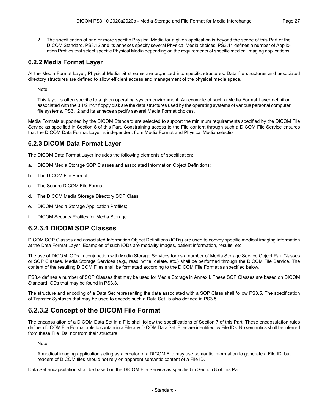2. The specification of one or more specific Physical Media for a given application is beyond the scope of this Part of the DICOM Standard. [PS3.12](part12.pdf#PS3.12) and its annexes specify several Physical Media choices. [PS3.11](part11.pdf#PS3.11) defines a number of Applic ation Profiles that select specific Physical Media depending on the requirements of specific medical imaging applications.

#### <span id="page-26-0"></span>**6.2.2 Media Format Layer**

At the Media Format Layer, Physical Media bit streams are organized into specific structures. Data file structures and associated directory structures are defined to allow efficient access and management of the physical media space.

Note

This layer is often specific to a given operating system environment. An example of such a Media Format Layer definition associated with the 3 1/2 inch floppy disk are the data structures used by the operating systems of various personal computer file systems. [PS3.12](part12.pdf#PS3.12) and its annexes specify several Media Format choices.

<span id="page-26-1"></span>Media Formats supported by the DICOM Standard are selected to support the minimum requirements specified by the DICOM File Service as specified in Section 8 of this Part. Constraining access to the File content through such a DICOM File Service ensures that the DICOM Data Format Layer is independent from Media Format and Physical Media selection.

#### **6.2.3 DICOM Data Format Layer**

The DICOM Data Format Layer includes the following elements of specification:

- a. DICOM Media Storage SOP Classes and associated Information Object Definitions;
- b. The DICOM File Format;
- c. The Secure DICOM File Format;
- d. The DICOM Media Storage Directory SOP Class;
- <span id="page-26-2"></span>e. DICOM Media Storage Application Profiles;
- f. DICOM Security Profiles for Media Storage.

#### **6.2.3.1 DICOM SOP Classes**

DICOM SOP Classes and associated Information Object Definitions (IODs) are used to convey specific medical imaging information at the Data Format Layer. Examples of such IODs are modality images, patient information, results, etc.

The use of DICOM IODs in conjunction with Media Storage Services forms a number of Media Storage Service Object Pair Classes or SOP Classes. Media Storage Services (e.g., read, write, delete, etc.) shall be performed through the DICOM File Service. The content of the resulting DICOM Files shall be formatted according to the DICOM File Format as specified below.

<span id="page-26-3"></span>[PS3.4](part04.pdf#PS3.4) defines a number of SOP Classes that may be used for Media Storage in [Annex](part04.pdf#chapter_I) I. These SOP Classes are based on DICOM Standard IODs that may be found in [PS3.3](part03.pdf#PS3.3).

The structure and encoding of a Data Set representing the data associated with a SOP Class shall follow [PS3.5.](part05.pdf#PS3.5) The specification of Transfer Syntaxes that may be used to encode such a Data Set, is also defined in [PS3.5.](part05.pdf#PS3.5)

#### **6.2.3.2 Concept of the DICOM File Format**

The encapsulation of a DICOM Data Set in a File shall follow the specifications of Section 7 of this Part. These encapsulation rules define a DICOM File Format able to contain in a File any DICOM Data Set. Files are identified by File IDs. No semantics shall be inferred from these File IDs, nor from their structure.

Note

A medical imaging application acting as a creator of a DICOM File may use semantic information to generate a File ID, but readers of DICOM files should not rely on apparent semantic content of a File ID.

Data Set encapsulation shall be based on the DICOM File Service as specified in Section 8 of this Part.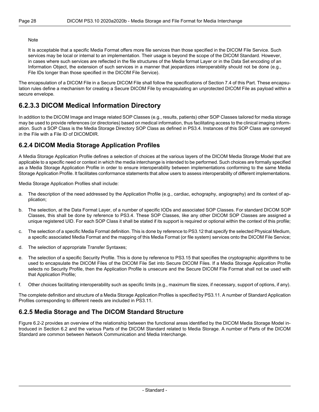#### Note

It is acceptable that a specific Media Format offers more file services than those specified in the DICOM File Service. Such services may be local or internal to an implementation. Their usage is beyond the scope of the DICOM Standard. However, in cases where such services are reflected in the file structures of the Media format Layer or in the Data Set encoding of an Information Object, the extension of such services in a manner that jeopardizes interoperability should not be done (e.g., File IDs longer than those specified in the DICOM File Service).

<span id="page-27-0"></span>The encapsulation of a DICOM File in a Secure DICOM File shall follow the specifications of [Section](#page-34-0) 7.4 of this Part. These encapsu lation rules define a mechanism for creating a Secure DICOM File by encapsulating an unprotected DICOM File as payload within a secure envelope.

### **6.2.3.3 DICOM Medical Information Directory**

<span id="page-27-1"></span>In addition to the DICOM Image and Image related SOP Classes (e.g., results, patients) other SOP Classes tailored for media storage may be used to provide references (or directories) based on medical information, thus facilitating access to the clinical imaging inform ation. Such a SOP Class is the Media Storage Directory SOP Class as defined in [PS3.4](part04.pdf#PS3.4). Instances of this SOP Class are conveyed in the File with a File ID of DICOMDIR.

#### **6.2.4 DICOM Media Storage Application Profiles**

A Media Storage Application Profile defines a selection of choices at the various layers of the DICOM Media Storage Model that are applicable to a specific need or context in which the media interchange is intended to be performed. Such choices are formally specified as a Media Storage Application Profile in order to ensure interoperability between implementations conforming to the same Media Storage Application Profile. It facilitates conformance statements that allow users to assess interoperability of different implementations.

Media Storage Application Profiles shall include:

- a. The description of the need addressed by the Application Profile (e.g., cardiac, echography, angiography) and its context of ap plication;
- b. The selection, at the Data Format Layer, of a number of specific IODs and associated SOP Classes. For standard DICOM SOP Classes, this shall be done by reference to [PS3.4.](part04.pdf#PS3.4) These SOP Classes, like any other DICOM SOP Classes are assigned a unique registered UID. For each SOP Class it shall be stated if its support is required or optional within the context of this profile;
- c. The selection of a specific Media Format definition. This is done by reference to [PS3.12](part12.pdf#PS3.12) that specify the selected Physical Medium, a specific associated Media Format and the mapping of this Media Format (or file system) services onto the DICOM File Service;
- d. The selection of appropriate Transfer Syntaxes;
- e. The selection of a specific Security Profile. This is done by reference to [PS3.15](part15.pdf#PS3.15) that specifies the cryptographic algorithms to be used to encapsulate the DICOM Files of the DICOM File Set into Secure DICOM Files. If a Media Storage Application Profile selects no Security Profile, then the Application Profile is unsecure and the Secure DICOM File Format shall not be used with that Application Profile;
- <span id="page-27-2"></span>f. Other choices facilitating interoperability such as specific limits (e.g., maximum file sizes, if necessary, support of options, if any).

The complete definition and structure of a Media Storage Application Profiles is specified by [PS3.11](part11.pdf#PS3.11). A number of Standard Application Profiles corresponding to different needs are included in [PS3.11](part11.pdf#PS3.11).

#### **6.2.5 Media Storage and The DICOM Standard Structure**

[Figure](#page-28-0) 6.2-2 provides an overview of the relationship between the functional areas identified by the DICOM Media Storage Model in troduced in [Section](#page-25-0) 6.2 and the various Parts of the DICOM Standard related to Media Storage. A number of Parts of the DICOM Standard are common between Network Communication and Media Interchange.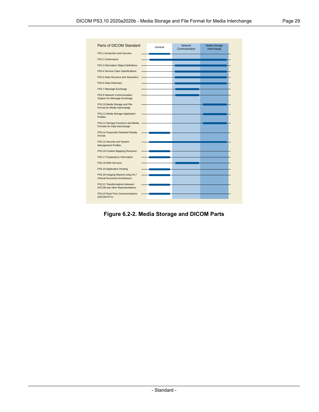<span id="page-28-0"></span>

| Parts of DICOM Standard                                                   | General | <b>Network</b><br>Communication | Media Storage<br>Interchange |
|---------------------------------------------------------------------------|---------|---------------------------------|------------------------------|
| PS3.1 Introduction and Overview                                           |         |                                 |                              |
| PS3.2 Conformance                                                         |         |                                 |                              |
| PS3.3 Information Object Definitions                                      |         |                                 |                              |
| PS3.4 Service Class Specifications                                        |         |                                 |                              |
| PS3.5 Data Structure and Semantics                                        |         |                                 |                              |
| PS3.6 Data Dictionary                                                     |         |                                 |                              |
| PS3.7 Message Exchange                                                    |         |                                 |                              |
| PS3.8 Network Communication<br>Support for Message Exchange               |         |                                 |                              |
| PS3.10 Media Storage and File<br>Format for Media Interchange             |         |                                 |                              |
| PS3.11 Media Storage Application<br><b>Profiles</b>                       |         |                                 |                              |
| PS3.12 Storage Functions and Media<br>Formats for Data Interchange        |         |                                 |                              |
| PS3.14 Grayscale Standard Display<br>Format                               |         |                                 |                              |
| PS3.15 Security and System<br><b>Management Profiles</b>                  |         |                                 |                              |
| PS3.16 Content Mapping Resource                                           |         |                                 |                              |
| PS3.17 Explanatory Information                                            |         |                                 |                              |
| PS3.18 Web Services                                                       |         |                                 |                              |
| PS3.19 Application Hosting                                                |         |                                 |                              |
| PS3.20 Imaging Reports using HL7<br><b>Clinical Document Architecture</b> |         |                                 |                              |
| PS3.21 Transformations between<br><b>DICOM</b> and other Representations  |         |                                 |                              |
| PS3.22 Real-Time Communications<br>(DICOM RTV)                            |         |                                 |                              |

**Figure 6.2-2. Media Storage and DICOM Parts**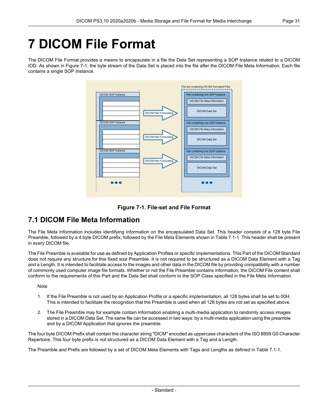# <span id="page-30-0"></span>**7 DICOM File Format**

<span id="page-30-2"></span>The DICOM File Format provides a means to encapsulate in a file the Data Set representing a SOP Instance related to a DICOM IOD. As shown in [Figure](#page-30-2) 7-1, the byte stream of the Data Set is placed into the file after the DICOM File Meta Information. Each file contains a single SOP Instance.





## <span id="page-30-1"></span>**7.1 DICOM File Meta Information**

The File Meta Information includes identifying information on the encapsulated Data Set. This header consists of a 128 byte File Preamble, followed by a 4 byte DICOM prefix, followed by the File Meta Elements shown in [Table](#page-31-0) 7.1-1. This header shall be present in every DICOM file.

The File Preamble is available for use as defined by Application Profiles or specific implementations. This Part of the DICOM Standard does not require any structure for this fixed size Preamble. It is not required to be structured as a DICOM Data Element with a Tag and a Length. It is intended to facilitate access to the images and other data in the DICOM file by providing compatibility with a number of commonly used computer image file formats. Whether or not the File Preamble contains information, the DICOM File content shall conform to the requirements of this Part and the Data Set shall conform to the SOP Class specified in the File Meta Information.

**Note** 

- 1. If the File Preamble is not used by an Application Profile or a specific implementation, all 128 bytes shall be set to 00H. This is intended to facilitate the recognition that the Preamble is used when all 128 bytes are not set as specified above.
- 2. The File Preamble may for example contain information enabling a multi-media application to randomly access images stored in a DICOM Data Set. The same file can be accessed in two ways: by a multi-media application using the preamble and by a DICOM Application that ignores the preamble.

The four byte DICOM Prefix shall contain the character string "DICM" encoded as uppercase characters of the ISO 8859 G0 Character Repertoire. This four byte prefix is not structured as a DICOM Data Element with a Tag and a Length.

The Preamble and Prefix are followed by a set of DICOM Meta Elements with Tags and Lengths as defined in [Table](#page-31-0) 7.1-1.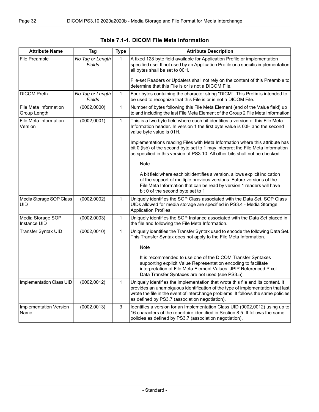<span id="page-31-0"></span>

| <b>Attribute Name</b>                        | Tag                        | <b>Type</b> | <b>Attribute Description</b>                                                                                                                                                                                                                                                                             |
|----------------------------------------------|----------------------------|-------------|----------------------------------------------------------------------------------------------------------------------------------------------------------------------------------------------------------------------------------------------------------------------------------------------------------|
| File Preamble                                | No Tag or Length<br>Fields | 1           | A fixed 128 byte field available for Application Profile or implementation<br>specified use. If not used by an Application Profile or a specific implementation<br>all bytes shall be set to 00H.<br>File-set Readers or Updaters shall not rely on the content of this Preamble to                      |
|                                              |                            |             | determine that this File is or is not a DICOM File.                                                                                                                                                                                                                                                      |
| <b>DICOM Prefix</b>                          | No Tag or Length<br>Fields | $\mathbf 1$ | Four bytes containing the character string "DICM". This Prefix is intended to<br>be used to recognize that this File is or is not a DICOM File.                                                                                                                                                          |
| <b>File Meta Information</b><br>Group Length | (0002, 0000)               | 1           | Number of bytes following this File Meta Element (end of the Value field) up<br>to and including the last File Meta Element of the Group 2 File Meta Information                                                                                                                                         |
| <b>File Meta Information</b><br>Version      | (0002,0001)                | 1           | This is a two byte field where each bit identifies a version of this File Meta<br>Information header. In version 1 the first byte value is 00H and the second<br>value byte value is 01H.                                                                                                                |
|                                              |                            |             | Implementations reading Files with Meta Information where this attribute has<br>bit 0 (Isb) of the second byte set to 1 may interpret the File Meta Information<br>as specified in this version of PS3.10. All other bits shall not be checked.                                                          |
|                                              |                            |             | Note                                                                                                                                                                                                                                                                                                     |
|                                              |                            |             | A bit field where each bit identifies a version, allows explicit indication<br>of the support of multiple previous versions. Future versions of the<br>File Meta Information that can be read by version 1 readers will have<br>bit 0 of the second byte set to 1                                        |
| Media Storage SOP Class<br>UID               | (0002, 0002)               | 1           | Uniquely identifies the SOP Class associated with the Data Set. SOP Class<br>UIDs allowed for media storage are specified in PS3.4 - Media Storage<br>Application Profiles.                                                                                                                              |
| Media Storage SOP<br>Instance UID            | (0002, 0003)               | $\mathbf 1$ | Uniquely identifies the SOP Instance associated with the Data Set placed in<br>the file and following the File Meta Information.                                                                                                                                                                         |
| Transfer Syntax UID                          | (0002, 0010)               | $\mathbf 1$ | Uniquely identifies the Transfer Syntax used to encode the following Data Set.<br>This Transfer Syntax does not apply to the File Meta Information.                                                                                                                                                      |
|                                              |                            |             | <b>Note</b>                                                                                                                                                                                                                                                                                              |
|                                              |                            |             | It is recommended to use one of the DICOM Transfer Syntaxes<br>supporting explicit Value Representation encoding to facilitate<br>interpretation of File Meta Element Values. JPIP Referenced Pixel<br>Data Transfer Syntaxes are not used (see PS3.5).                                                  |
| Implementation Class UID                     | (0002, 0012)               | 1           | Uniquely identifies the implementation that wrote this file and its content. It<br>provides an unambiguous identification of the type of implementation that last<br>wrote the file in the event of interchange problems. It follows the same policies<br>as defined by PS3.7 (association negotiation). |
| Implementation Version<br>Name               | (0002, 0013)               | 3           | Identifies a version for an Implementation Class UID (0002,0012) using up to<br>16 characters of the repertoire identified in Section 8.5. It follows the same<br>policies as defined by PS3.7 (association negotiation).                                                                                |

#### **Table 7.1-1. DICOM File Meta Information**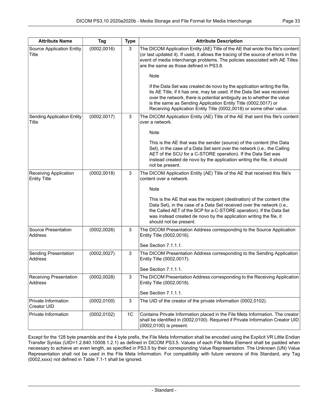| <b>Attribute Name</b>                        | Tag          | <b>Type</b>    | <b>Attribute Description</b>                                                                                                                                                                                                                                                                                                                                          |
|----------------------------------------------|--------------|----------------|-----------------------------------------------------------------------------------------------------------------------------------------------------------------------------------------------------------------------------------------------------------------------------------------------------------------------------------------------------------------------|
| Source Application Entity<br>Title           | (0002, 0016) | 3              | The DICOM Application Entity (AE) Title of the AE that wrote this file's content<br>(or last updated it). If used, it allows the tracing of the source of errors in the<br>event of media interchange problems. The policies associated with AE Titles<br>are the same as those defined in PS3.8.                                                                     |
|                                              |              |                | Note                                                                                                                                                                                                                                                                                                                                                                  |
|                                              |              |                | If the Data Set was created de novo by the application writing the file,<br>its AE Title, if it has one, may be used. If the Data Set was received<br>over the network, there is potential ambiguity as to whether the value<br>is the same as Sending Application Entity Title (0002,0017) or<br>Receiving Application Entity Title (0002,0018) or some other value. |
| <b>Sending Application Entity</b><br>Title   | (0002, 0017) | 3              | The DICOM Application Entity (AE) Title of the AE that sent this file's content<br>over a network.                                                                                                                                                                                                                                                                    |
|                                              |              |                | Note                                                                                                                                                                                                                                                                                                                                                                  |
|                                              |              |                | This is the AE that was the sender (source) of the content (the Data<br>Set), in the case of a Data Set sent over the network (i.e., the Calling<br>AET of the SCU for a C-STORE operation). If the Data Set was<br>instead created de novo by the application writing the file, it should<br>not be present.                                                         |
| Receiving Application<br><b>Entity Title</b> | (0002, 0018) | 3              | The DICOM Application Entity (AE) Title of the AE that received this file's<br>content over a network.                                                                                                                                                                                                                                                                |
|                                              |              |                | Note<br>This is the AE that was the recipient (destination) of the content (the<br>Data Set), in the case of a Data Set received over the network (i.e.,<br>the Called AET of the SCP for a C-STORE operation). If the Data Set<br>was instead created de novo by the application writing the file, it<br>should not be present.                                      |
| Source Presentation<br>Address               | (0002, 0026) | 3              | The DICOM Presentation Address corresponding to the Source Application<br>Entity Title (0002,0016).                                                                                                                                                                                                                                                                   |
|                                              |              |                | See Section 7.1.1.1.                                                                                                                                                                                                                                                                                                                                                  |
| Sending Presentation<br>Address              | (0002, 0027) | 3              | The DICOM Presentation Address corresponding to the Sending Application<br>Entity Title (0002,0017).<br>See Section 7.1.1.1.                                                                                                                                                                                                                                          |
| <b>Receiving Presentation</b><br>Address     | (0002, 0028) | 3              | The DICOM Presentation Address corresponding to the Receiving Application<br>Entity Title (0002,0018).<br>See Section 7.1.1.1.                                                                                                                                                                                                                                        |
| Private Information<br>Creator UID           | (0002, 0100) | 3              | The UID of the creator of the private information (0002,0102).                                                                                                                                                                                                                                                                                                        |
| Private Information                          | (0002, 0102) | 1 <sup>C</sup> | Contains Private Information placed in the File Meta Information. The creator<br>shall be identified in (0002,0100). Required if Private Information Creator UID<br>(0002,0100) is present.                                                                                                                                                                           |

Except for the 128 byte preamble and the 4 byte prefix, the File Meta Information shall be encoded using the Explicit VR Little Endian Transfer Syntax (UID=1.2.840.10008.1.2.1) as defined in DICOM [PS3.5](part05.pdf#PS3.5). Values of each File Meta Element shall be padded when necessary to achieve an even length, as specified in [PS3.5](part05.pdf#PS3.5) by their corresponding Value Representation. The Unknown (UN) Value Representation shall not be used in the File Meta Information. For compatibility with future versions of this Standard, any Tag (0002,xxxx) not defined in [Table](#page-31-0) 7.1-1 shall be ignored.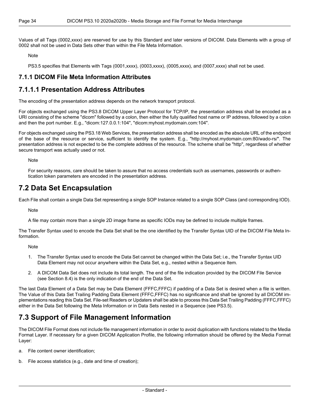Values of all Tags (0002,xxxx) are reserved for use by this Standard and later versions of DICOM. Data Elements with a group of 0002 shall not be used in Data Sets other than within the File Meta Information.

Note

<span id="page-33-0"></span>[PS3.5](part05.pdf#PS3.5) specifies that Elements with Tags (0001,xxxx), (0003,xxxx), (0005,xxxx), and (0007,xxxx) shall not be used.

#### <span id="page-33-1"></span>**7.1.1 DICOM File Meta Information Attributes**

### **7.1.1.1 Presentation Address Attributes**

The encoding of the presentation address depends on the network transport protocol.

For objects exchanged using the [PS3.8](part08.pdf#PS3.8) DICOM Upper Layer Protocol for TCP/IP, the presentation address shall be encoded as a URI consisting of the scheme "dicom" followed by a colon, then either the fully qualified host name or IP address, followed by a colon and then the port number. E.g., "dicom:127.0.0.1:104", "dicom:myhost.mydomain.com:104".

For objects exchanged using the [PS3.18](part18.pdf#PS3.18) Web Services, the presentation address shall be encoded as the absolute URL of the endpoint of the base of the resource or service, sufficient to identify the system. E.g., "http://myhost.mydomain.com:80/wado-rs/". The presentation address is not expected to be the complete address of the resource. The scheme shall be "http", regardless of whether secure transport was actually used or not.

<span id="page-33-2"></span>Note

For security reasons, care should be taken to assure that no access credentials such as usernames, passwords or authen tication token parameters are encoded in the presentation address.

### **7.2 Data Set Encapsulation**

Each File shall contain a single Data Set representing a single SOP Instance related to a single SOP Class (and corresponding IOD).

**Note** 

A file may contain more than a single 2D image frame as specific IODs may be defined to include multiple frames.

The Transfer Syntax used to encode the Data Set shall be the one identified by the Transfer Syntax UID of the DICOM File Meta In formation.

Note

- 1. The Transfer Syntax used to encode the Data Set cannot be changed within the Data Set; i.e., the Transfer Syntax UID Data Element may not occur anywhere within the Data Set, e.g., nested within a Sequence Item.
- 2. A DICOM Data Set does not include its total length. The end of the file indication provided by the DICOM File Service (see [Section](#page-39-0) 8.4) is the only indication of the end of the Data Set.

<span id="page-33-3"></span>The last Data Element of a Data Set may be Data Element (FFFC,FFFC) if padding of a Data Set is desired when a file is written. The Value of this Data Set Trailing Padding Data Element (FFFC,FFFC) has no significance and shall be ignored by all DICOM im plementations reading this Data Set. File-set Readers or Updaters shall be able to process this Data Set Trailing Padding (FFFC,FFFC) either in the Data Set following the Meta Information or in Data Sets nested in a Sequence (see [PS3.5](part05.pdf#PS3.5)).

## **7.3 Support of File Management Information**

The DICOM File Format does not include file management information in order to avoid duplication with functions related to the Media Format Layer. If necessary for a given DICOM Application Profile, the following information should be offered by the Media Format Layer:

- a. File content owner identification;
- b. File access statistics (e.g., date and time of creation);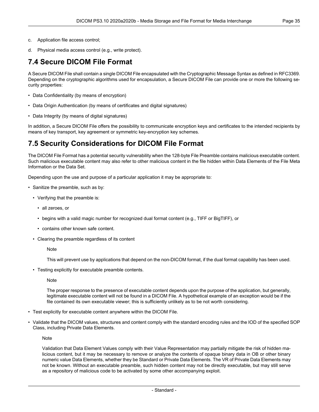<span id="page-34-0"></span>d. Physical media access control (e.g., write protect).

### **7.4 Secure DICOM File Format**

A Secure DICOM File shall contain a single DICOM File encapsulated with the Cryptographic Message Syntax as defined in RFC3369. Depending on the cryptographic algorithms used for encapsulation, a Secure DICOM File can provide one or more the following se curity properties:

- Data Confidentiality (by means of encryption)
- Data Origin Authentication (by means of certificates and digital signatures)
- Data Integrity (by means of digital signatures)

<span id="page-34-1"></span>In addition, a Secure DICOM File offers the possibility to communicate encryption keys and certificates to the intended recipients by means of key transport, key agreement or symmetric key-encryption key schemes.

### **7.5 Security Considerations for DICOM File Format**

The DICOM File Format has a potential security vulnerability when the 128-byte File Preamble contains malicious executable content. Such malicious executable content may also refer to other malicious content in the file hidden within Data Elements of the File Meta Information or the Data Set.

Depending upon the use and purpose of a particular application it may be appropriate to:

- Sanitize the preamble, such as by:
	- Verifying that the preamble is:
		- all zeroes, or
		- begins with a valid magic number for recognized dual format content (e.g., TIFF or BigTIFF), or
		- contains other known safe content.
	- Clearing the preamble regardless of its content

**Note** 

This will prevent use by applications that depend on the non-DICOM format, if the dual format capability has been used.

• Testing explicitly for executable preamble contents.

**Note** 

The proper response to the presence of executable content depends upon the purpose of the application, but generally, legitimate executable content will not be found in a DICOM File. A hypothetical example of an exception would be if the file contained its own executable viewer; this is sufficiently unlikely as to be not worth considering.

- Test explicitly for executable content anywhere within the DICOM File.
- Validate that the DICOM values, structures and content comply with the standard encoding rules and the IOD of the specified SOP Class, including Private Data Elements.

**Note** 

Validation that Data Element Values comply with their Value Representation may partially mitigate the risk of hidden ma licious content, but it may be necessary to remove or analyze the contents of opaque binary data in OB or other binary numeric value Data Elements, whether they be Standard or Private Data Elements. The VR of Private Data Elements may not be known. Without an executable preamble, such hidden content may not be directly executable, but may still serve as a repository of malicious code to be activated by some other accompanying exploit.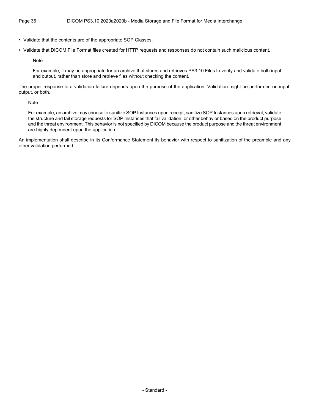• Validate that the contents are of the appropriate SOP Classes.

• Validate that DICOM File Format files created for HTTP requests and responses do not contain such malicious content.

Note

For example, it may be appropriate for an archive that stores and retrieves PS3.10 Files to verify and validate both input and output, rather than store and retrieve files without checking the content.

The proper response to a validation failure depends upon the purpose of the application. Validation might be performed on input, output, or both.

Note

For example, an archive may choose to sanitize SOP Instances upon receipt, sanitize SOP Instances upon retrieval, validate the structure and fail storage requests for SOP Instances that fail validation, or other behavior based on the product purpose and the threat environment. This behavior is not specified by DICOM because the product purpose and the threat environment are highly dependent upon the application.

An implementation shall describe in its Conformance Statement its behavior with respect to sanitization of the preamble and any other validation performed.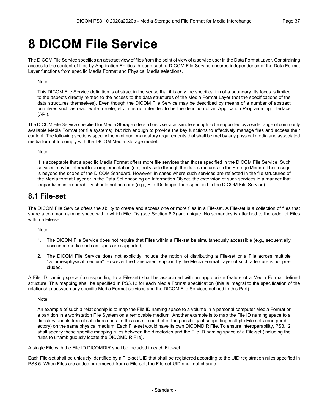## <span id="page-36-0"></span>**8 DICOM File Service**

The DICOM File Service specifies an abstract view of files from the point of view of a service user in the Data Format Layer. Constraining access to the content of files by Application Entities through such a DICOM File Service ensures independence of the Data Format Layer functions from specific Media Format and Physical Media selections.

#### Note

This DICOM File Service definition is abstract in the sense that it is only the specification of a boundary. Its focus is limited to the aspects directly related to the access to the data structures of the Media Format Layer (not the specifications of the data structures themselves). Even though the DICOM File Service may be described by means of a number of abstract primitives such as read, write, delete, etc., it is not intended to be the definition of an Application Programming Interface (API).

The DICOM File Service specified for Media Storage offers a basic service, simple enough to be supported by a wide range of commonly available Media Format (or file systems), but rich enough to provide the key functions to effectively manage files and access their content. The following sections specify the minimum mandatory requirements that shall be met by any physical media and associated media format to comply with the DICOM Media Storage model.

#### Note

<span id="page-36-1"></span>It is acceptable that a specific Media Format offers more file services than those specified in the DICOM File Service. Such services may be internal to an implementation (i.e., not visible through the data structures on the Storage Media). Their usage is beyond the scope of the DICOM Standard. However, in cases where such services are reflected in the file structures of the Media format Layer or in the Data Set encoding an Information Object, the extension of such services in a manner that jeopardizes interoperability should not be done (e.g., File IDs longer than specified in the DICOM File Service).

### **8.1 File-set**

The DICOM File Service offers the ability to create and access one or more files in a File-set. A File-set is a collection of files that share a common naming space within which File IDs (see [Section](#page-37-0) 8.2) are unique. No semantics is attached to the order of Files within a File-set.

Note

- 1. The DICOM File Service does not require that Files within a File-set be simultaneously accessible (e.g., sequentially accessed media such as tapes are supported).
- 2. The DICOM File Service does not explicitly include the notion of distributing a File-set or a File across multiple "volumes/physical medium". However the transparent support by the Media Format Layer of such a feature is not pre cluded.

A File ID naming space (corresponding to a File-set) shall be associated with an appropriate feature of a Media Format defined structure. This mapping shall be specified in [PS3.12](part12.pdf#PS3.12) for each Media Format specification (this is integral to the specification of the relationship between any specific Media Format services and the DICOM File Services defined in this Part).

Note

An example of such a relationship is to map the File ID naming space to a volume in a personal computer Media Format or a partition in a workstation File System on a removable medium. Another example is to map the File ID naming space to a directory and its tree of sub-directories. In this case it could offer the possibility of supporting multiple File-sets (one per dir ectory) on the same physical medium. Each File-set would have its own DICOMDIR File. To ensure interoperability, [PS3.12](part12.pdf#PS3.12) shall specify these specific mapping rules between the directories and the File ID naming space of a File-set (including the rules to unambiguously locate the DICOMDIR File).

A single File with the File ID DICOMDIR shall be included in each File-set.

Each File-set shall be uniquely identified by a File-set UID that shall be registered according to the UID registration rules specified in [PS3.5](part05.pdf#PS3.5). When Files are added or removed from a File-set, the File-set UID shall not change.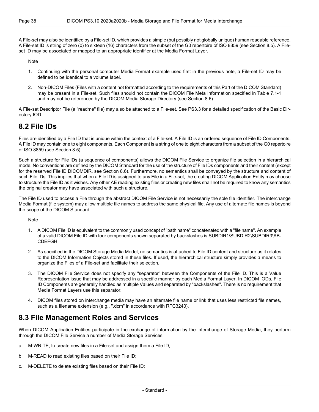A File-set may also be identified by a File-set ID, which provides a simple (but possibly not globally unique) human readable reference. A File-set ID is string of zero (0) to sixteen (16) characters from the subset of the G0 repertoire of ISO 8859 (see [Section](#page-39-1) 8.5). A File set ID may be associated or mapped to an appropriate identifier at the Media Format Layer.

Note

- 1. Continuing with the personal computer Media Format example used first in the previous note, a File-set ID may be defined to be identical to a volume label.
- 2. Non-DICOM Files (Files with a content not formatted according to the requirements of this Part of the DICOM Standard) may be present in a File-set. Such files should not contain the DICOM File Meta Information specified in [Table](#page-31-0) 7.1-1 and may not be referenced by the DICOM Media Storage Directory (see [Section](#page-39-2) 8.6).

<span id="page-37-0"></span>A File-set Descriptor File (a "readme" file) may also be attached to a File-set. See [PS3.3](part03.pdf#PS3.3) for a detailed specification of the Basic Dir ectory IOD.

## **8.2 File IDs**

Files are identified by a File ID that is unique within the context of a File-set. A File ID is an ordered sequence of File ID Components. A File ID may contain one to eight components. Each Component is a string of one to eight characters from a subset of the G0 repertoire of ISO 8859 (see [Section](#page-39-1) 8.5)

Such a structure for File IDs (a sequence of components) allows the DICOM File Service to organize file selection in a hierarchical mode. No conventions are defined by the DICOM Standard for the use of the structure of File IDs components and their content (except for the reserved File ID DICOMDIR, see [Section](#page-39-2) 8.6). Furthermore, no semantics shall be conveyed by the structure and content of such File IDs. This implies that when a File ID is assigned to any File in a File-set, the creating DICOM Application Entity may choose to structure the File ID as it wishes. Any other AE reading existing files or creating new files shall not be required to know any semantics the original creator may have associated with such a structure.

The File ID used to access a File through the abstract DICOM File Service is not necessarily the sole file identifier. The interchange Media Format (file system) may allow multiple file names to address the same physical file. Any use of alternate file names is beyond the scope of the DICOM Standard.

**Note** 

- 1. A DICOM File ID is equivalent to the commonly used concept of "path name" concatenated with a "file name". An example of a valid DICOM File ID with four components shown separated by backslashes is:SUBDIR1\SUBDIR2\SUBDIR3\AB- CDEFGH
- 2. As specified in the DICOM Storage Media Model, no semantics is attached to File ID content and structure as it relates to the DICOM Information Objects stored in these files. If used, the hierarchical structure simply provides a means to organize the Files of a File-set and facilitate their selection.
- <span id="page-37-1"></span>3. The DICOM File Service does not specify any "separator" between the Components of the File ID. This is a Value Representation issue that may be addressed in a specific manner by each Media Format Layer. In DICOM IODs, File ID Components are generally handled as multiple Values and separated by "backslashes". There is no requirement that Media Format Layers use this separator.
- 4. DICOM files stored on interchange media may have an alternate file name or link that uses less restricted file names, such as a filename extension (e.g., ".dcm" in accordance with RFC3240).

### **8.3 File Management Roles and Services**

When DICOM Application Entities participate in the exchange of information by the interchange of Storage Media, they perform through the DICOM File Service a number of Media Storage Services:

- a. M-WRITE, to create new files in a File-set and assign them a File ID;
- b. M-READ to read existing files based on their File ID;
- c. M-DELETE to delete existing files based on their File ID;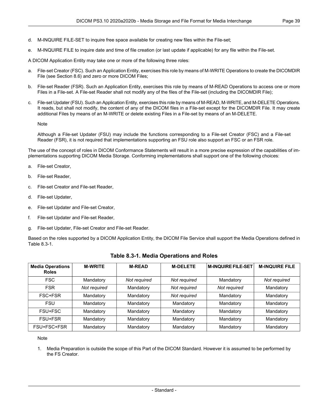- d. M-INQUIRE FILE-SET to inquire free space available for creating new files within the File-set;
- e. M-INQUIRE FILE to inquire date and time of file creation (or last update if applicable) for any file within the File-set.

A DICOM Application Entity may take one or more of the following three roles:

- a. File-set Creator (FSC). Such an Application Entity, exercises this role by means of M-WRITE Operations to create the DICOMDIR File (see [Section](#page-39-2) 8.6) and zero or more DICOM Files;
- b. File-set Reader (FSR). Such an Application Entity, exercises this role by means of M-READ Operations to access one or more Files in a File-set. A File-set Reader shall not modify any of the files of the File-set (including the DICOMDIR File);
- File-set Updater (FSU). Such an Application Entity, exercises this role by means of M-READ, M-WRITE, and M-DELETE Operations. It reads, but shall not modify, the content of any of the DICOM files in a File-set except for the DICOMDIR File. It may create additional Files by means of an M-WRITE or delete existing Files in a File-set by means of an M-DELETE.

Note

Although a File-set Updater (FSU) may include the functions corresponding to a File-set Creator (FSC) and a File-set Reader (FSR), it is not required that implementations supporting an FSU role also support an FSC or an FSR role.

The use of the concept of roles in DICOM Conformance Statements will result in a more precise expression of the capabilities of im plementations supporting DICOM Media Storage. Conforming implementations shall support one of the following choices:

- a. File-set Creator,
- b. File-set Reader,
- c. File-set Creator and File-set Reader,
- d. File-set Updater,
- e. File-set Updater and File-set Creator,
- f. File-set Updater and File-set Reader,
- <span id="page-38-0"></span>g. File-set Updater, File-set Creator and File-set Reader.

Based on the roles supported by a DICOM Application Entity, the DICOM File Service shall support the Media Operations defined in [Table](#page-38-0) 8.3-1.

| <b>Media Operations</b><br><b>Roles</b> | <b>M-WRITE</b> | <b>M-READ</b> | <b>M-DELETE</b> | <b>M-INQUIRE FILE-SET</b> | <b>M-INQUIRE FILE</b> |
|-----------------------------------------|----------------|---------------|-----------------|---------------------------|-----------------------|
| <b>FSC</b>                              | Mandatory      | Not required  | Not required    | Mandatory                 | Not required          |
| <b>FSR</b>                              | Not required   | Mandatory     | Not required    | Not required              | Mandatory             |
| FSC+FSR                                 | Mandatory      | Mandatory     | Not required    | Mandatory                 | Mandatory             |
| <b>FSU</b>                              | Mandatory      | Mandatory     | Mandatory       | Mandatory                 | Mandatory             |
| FSU+FSC                                 | Mandatory      | Mandatory     | Mandatory       | Mandatory                 | Mandatory             |
| FSU+FSR                                 | Mandatory      | Mandatory     | Mandatory       | Mandatory                 | Mandatory             |
| FSU+FSC+FSR                             | Mandatory      | Mandatory     | Mandatory       | Mandatory                 | Mandatory             |

#### **Table 8.3-1. Media Operations and Roles**

#### Note

1. Media Preparation is outside the scope of this Part of the DICOM Standard. However it is assumed to be performed by the FS Creator.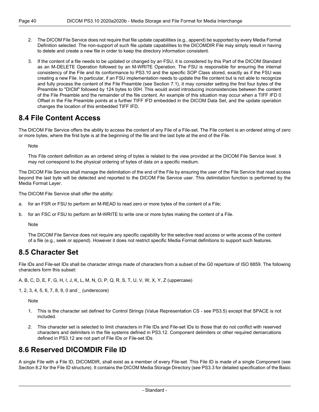- 2. The DICOM File Service does not require that file update capabilities (e.g., append) be supported by every Media Format Definition selected. The non-support of such file update capabilities to the DICOMDIR File may simply result in having to delete and create a new file in order to keep the directory information consistent.
- 3. If the content of a file needs to be updated or changed by an FSU, it is considered by this Part of the DICOM Standard as an M-DELETE Operation followed by an M-WRITE Operation. The FSU is responsible for ensuring the internal consistency of the File and its conformance to PS3.10 and the specific SOP Class stored, exactly as if the FSU was creating a new File. In particular, if an FSU implementation needs to update the file content but is not able to recognize and fully process the content of the File Preamble (see [Section](#page-30-1) 7.1), it may consider setting the first four bytes of the Preamble to "DICM" followed by 124 bytes to 00H. This would avoid introducing inconsistencies between the content of the File Preamble and the remainder of the file content. An example of this situation may occur when a TIFF IFD 0 Offset in the File Preamble points at a further TIFF IFD embedded in the DICOM Data Set, and the update operation changes the location of this embedded TIFF IFD.

### <span id="page-39-0"></span>**8.4 File Content Access**

The DICOM File Service offers the ability to access the content of any File of a File-set. The File content is an ordered string of zero or more bytes, where the first byte is at the beginning of the file and the last byte at the end of the File.

Note

This File content definition as an ordered string of bytes is related to the view provided at the DICOM File Service level. It may not correspond to the physical ordering of bytes of data on a specific medium.

The DICOM File Service shall manage the delimitation of the end of the File by ensuring the user of the File Service that read access beyond the last byte will be detected and reported to the DICOM File Service user. This delimitation function is performed by the Media Format Layer.

The DICOM File Service shall offer the ability:

- a. for an FSR or FSU to perform an M-READ to read zero or more bytes of the content of a File;
- <span id="page-39-1"></span>b. for an FSC or FSU to perform an M-WRITE to write one or more bytes making the content of a File.

Note

The DICOM File Service does not require any specific capability for the selective read access or write access of the content of a file (e.g., seek or append). However it does not restrict specific Media Format definitions to support such features.

### **8.5 Character Set**

File IDs and File-set IDs shall be character strings made of characters from a subset of the G0 repertoire of ISO 8859. The following characters form this subset:

A, B, C, D, E, F, G, H, I, J, K, L, M, N, O, P, Q, R, S, T, U, V, W, X, Y, Z (uppercase)

1, 2, 3, 4, 5, 6, 7, 8, 9, 0 and \_ (underscore)

**Note** 

- <span id="page-39-2"></span>1. This is the character set defined for Control Strings (Value Representation CS - see [PS3.5\)](part05.pdf#PS3.5) except that SPACE is not included.
- 2. This character set is selected to limit characters in File IDs and File-set IDs to those that do not conflict with reserved characters and delimiters in the file systems defined in [PS3.12](part12.pdf#PS3.12). Component delimiters or other required demarcations defined in [PS3.12](part12.pdf#PS3.12) are not part of File IDs or File-set IDs

## **8.6 Reserved DICOMDIR File ID**

A single File with a File ID, DICOMDIR, shall exist as a member of every File-set. This File ID is made of a single Component (see [Section](#page-37-0) 8.2 for the File ID structure). It contains the DICOM Media Storage Directory (see [PS3.3](part03.pdf#PS3.3) for detailed specification of the Basic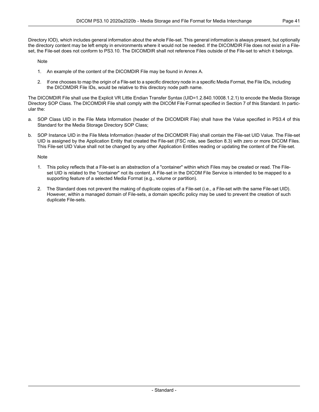Directory IOD), which includes general information about the whole File-set. This general information is always present, but optionally the directory content may be left empty in environments where it would not be needed. If the DICOMDIR File does not exist in a File set, the File-set does not conform to PS3.10. The DICOMDIR shall not reference Files outside of the File-set to which it belongs.

Note

- 1. An example of the content of the DICOMDIR File may be found in [Annex](#page-44-0) A.
- 2. If one chooses to map the origin of a File-set to a specific directory node in a specific Media Format, the File IDs, including the DICOMDIR File IDs, would be relative to this directory node path name.

The DICOMDIR File shall use the Explicit VR Little Endian Transfer Syntax (UID=1.2.840.10008.1.2.1) to encode the Media Storage Directory SOP Class. The DICOMDIR File shall comply with the DICOM File Format specified in Section 7 of this Standard. In partic ular the:

- a. SOP Class UID in the File Meta Information (header of the DICOMDIR File) shall have the Value specified in [PS3.4](part04.pdf#PS3.4) of this Standard for the Media Storage Directory SOP Class;
- b. SOP Instance UID in the File Meta Information (header of the DICOMDIR File) shall contain the File-set UID Value. The File-set UID is assigned by the Application Entity that created the File-set (FSC role, see [Section](#page-37-1) 8.3) with zero or more DICOM Files. This File-set UID Value shall not be changed by any other Application Entities reading or updating the content of the File-set.

#### Note

- 1. This policy reflects that a File-set is an abstraction of a "container" within which Files may be created or read. The File set UID is related to the "container" not its content. A File-set in the DICOM File Service is intended to be mapped to a supporting feature of a selected Media Format (e.g., volume or partition).
- 2. The Standard does not prevent the making of duplicate copies of a File-set (i.e., a File-set with the same File-set UID). However, within a managed domain of File-sets, a domain specific policy may be used to prevent the creation of such duplicate File-sets.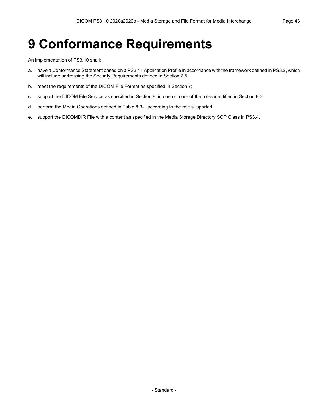## <span id="page-42-0"></span>**9 Conformance Requirements**

An implementation of PS3.10 shall:

- a. have a Conformance Statement based on a [PS3.11](part11.pdf#PS3.11) Application Profile in accordance with the framework defined in [PS3.2,](part02.pdf#PS3.2) which will include addressing the Security Requirements defined in [Section](#page-34-1) 7.5;
- b. meet the requirements of the DICOM File Format as specified in [Section](#page-30-0) 7;
- c. support the DICOM File Service as specified in [Section](#page-36-0) 8, in one or more of the roles identified in [Section](#page-37-1) 8.3;
- d. perform the Media Operations defined in [Table](#page-38-0) 8.3-1 according to the role supported;
- e. support the DICOMDIR File with a content as specified in the Media Storage Directory SOP Class in [PS3.4.](part04.pdf#PS3.4)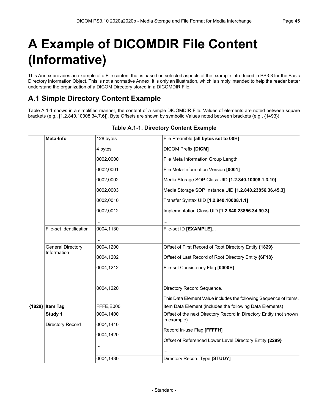# <span id="page-44-0"></span>**A Example of DICOMDIR File Content (Informative)**

<span id="page-44-1"></span>This Annex provides an example of a File content that is based on selected aspects of the example introduced in [PS3.3](part03.pdf#PS3.3) for the Basic Directory Information Object. This is not a normative Annex. It is only an illustration, which is simply intended to help the reader better understand the organization of a DICOM Directory stored in a DICOMDIR File.

## **A.1 Simple Directory Content Example**

<span id="page-44-2"></span>[Table](#page-44-2) A.1-1 shows in a simplified manner, the content of a simple DICOMDIR File. Values of elements are noted between square brackets (e.g., [1.2.840.10008.34.7.6]). Byte Offsets are shown by symbolic Values noted between brackets (e.g., {1493}).

| Media Storage SOP Instance UID [1.2.840.23856.36.45.3]             |
|--------------------------------------------------------------------|
|                                                                    |
|                                                                    |
|                                                                    |
|                                                                    |
|                                                                    |
|                                                                    |
|                                                                    |
|                                                                    |
|                                                                    |
|                                                                    |
|                                                                    |
|                                                                    |
|                                                                    |
|                                                                    |
|                                                                    |
| This Data Element Value includes the following Sequence of Items.  |
|                                                                    |
|                                                                    |
| Offset of the next Directory Record in Directory Entity (not shown |
|                                                                    |
|                                                                    |
|                                                                    |
|                                                                    |
| Item Data Element (includes the following Data Elements)           |

#### **Table A.1-1. Directory Content Example**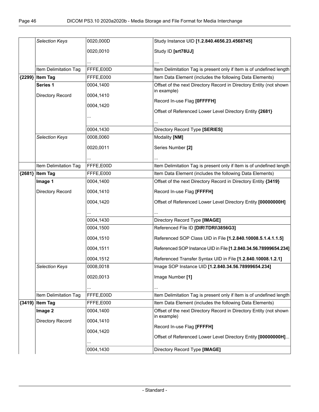|        | <b>Selection Keys</b> | 0020,000D | Study Instance UID [1.2.840.4656.23.4568745]                         |
|--------|-----------------------|-----------|----------------------------------------------------------------------|
|        |                       |           |                                                                      |
|        |                       | 0020,0010 | Study ID [srt78UJ]                                                   |
|        |                       |           |                                                                      |
|        | Item Delimitation Tag | FFFE,E00D | Item Delimitation Tag is present only if Item is of undefined length |
| {2299} | <b>Item Tag</b>       | FFFE,E000 | Item Data Element (includes the following Data Elements)             |
|        | Series <sub>1</sub>   | 0004,1400 | Offset of the next Directory Record in Directory Entity (not shown   |
|        | Directory Record      | 0004,1410 | in example)                                                          |
|        |                       |           | Record In-use Flag [OFFFFH]                                          |
|        |                       | 0004,1420 | Offset of Referenced Lower Level Directory Entity {2681}             |
|        |                       |           |                                                                      |
|        |                       |           |                                                                      |
|        |                       | 0004,1430 | Directory Record Type [SERIES]                                       |
|        | Selection Keys        | 0008,0060 | Modality [NM]                                                        |
|        |                       | 0020,0011 | Series Number [2]                                                    |
|        |                       |           |                                                                      |
|        | Item Delimitation Tag | FFFE,E00D | Item Delimitation Tag is present only if Item is of undefined length |
|        | {2681} Item Tag       | FFFE,E000 | Item Data Element (includes the following Data Elements)             |
|        | Image 1               | 0004,1400 | Offset of the next Directory Record in Directory Entity {3419}       |
|        | Directory Record      | 0004,1410 | Record In-use Flag [FFFFH]                                           |
|        |                       | 0004,1420 | Offset of Referenced Lower Level Directory Entity [00000000H]        |
|        |                       |           |                                                                      |
|        |                       |           |                                                                      |
|        |                       | 0004,1430 | Directory Record Type [IMAGE]                                        |
|        |                       | 0004,1500 | Referenced File ID [DIR\TDRI\3856G3]                                 |
|        |                       | 0004,1510 | Referenced SOP Class UID in File [1.2.840.10008.5.1.4.1.1.5]         |
|        |                       | 0004,1511 | Referenced SOP Instance UID in File [1.2.840.34.56.78999654.234]     |
|        |                       | 0004,1512 | Referenced Transfer Syntax UID in File [1.2.840.10008.1.2.1]         |
|        | <b>Selection Kevs</b> | 0008,0018 | Image SOP Instance UID [1.2.840.34.56.78999654.234]                  |
|        |                       | 0020,0013 | Image Number [1]                                                     |
|        |                       |           |                                                                      |
|        | Item Delimitation Tag | FFFE,E00D | Item Delimitation Tag is present only if Item is of undefined length |
|        | {3419} Item Tag       | FFFE,E000 | Item Data Element (includes the following Data Elements)             |
|        | Image 2               | 0004,1400 | Offset of the next Directory Record in Directory Entity (not shown   |
|        |                       |           | in example)                                                          |
|        | Directory Record      | 0004,1410 | Record In-use Flag [FFFFH]                                           |
|        |                       | 0004,1420 |                                                                      |
|        |                       |           | Offset of Referenced Lower Level Directory Entity [00000000H]        |
|        |                       | 0004,1430 | Directory Record Type [IMAGE]                                        |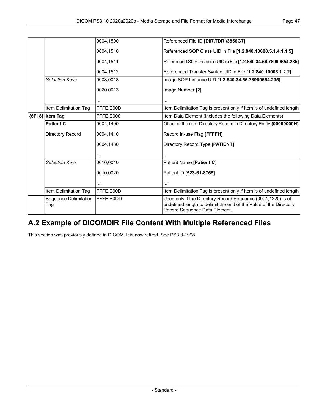|          |                              | 0004,1500 | Referenced File ID [DIR\TDRI\3856G7]                                                                                                                               |
|----------|------------------------------|-----------|--------------------------------------------------------------------------------------------------------------------------------------------------------------------|
|          |                              | 0004,1510 | Referenced SOP Class UID in File [1.2.840.10008.5.1.4.1.1.5]                                                                                                       |
|          |                              | 0004,1511 | Referenced SOP Instance UID in File [1.2.840.34.56.78999654.235]                                                                                                   |
|          |                              | 0004.1512 | Referenced Transfer Syntax UID in File [1.2.840.10008.1.2.2]                                                                                                       |
|          | <b>Selection Keys</b>        | 0008,0018 | Image SOP Instance UID [1.2.840.34.56.78999654.235]                                                                                                                |
|          |                              | 0020,0013 | Image Number [2]                                                                                                                                                   |
|          |                              |           |                                                                                                                                                                    |
|          | Item Delimitation Tag        | FFFE,E00D | Item Delimitation Tag is present only if Item is of undefined length                                                                                               |
| ${6F18}$ | <b>Item Tag</b>              | FFFE,E000 | Item Data Element (includes the following Data Elements)                                                                                                           |
|          | <b>Patient C</b>             | 0004.1400 | Offset of the next Directory Record in Directory Entity {00000000H}                                                                                                |
|          | Directory Record             | 0004,1410 | Record In-use Flag [FFFFH]                                                                                                                                         |
|          |                              | 0004,1430 | Directory Record Type [PATIENT]                                                                                                                                    |
|          |                              |           |                                                                                                                                                                    |
|          | <b>Selection Keys</b>        | 0010,0010 | Patient Name [Patient C]                                                                                                                                           |
|          |                              | 0010.0020 | Patient ID [523-61-8765]                                                                                                                                           |
|          |                              | .         | .                                                                                                                                                                  |
|          | Item Delimitation Tag        | FFFE,E00D | Item Delimitation Tag is present only if Item is of undefined length                                                                                               |
|          | Sequence Delimitation<br>Tag | FFFE,E0DD | Used only if the Directory Record Sequence (0004,1220) is of<br>undefined length to delimit the end of the Value of the Directory<br>Record Sequence Data Element. |

## <span id="page-46-0"></span>**A.2 Example of DICOMDIR File Content With Multiple Referenced Files**

This section was previously defined in DICOM. It is now retired. See PS3.3-1998.